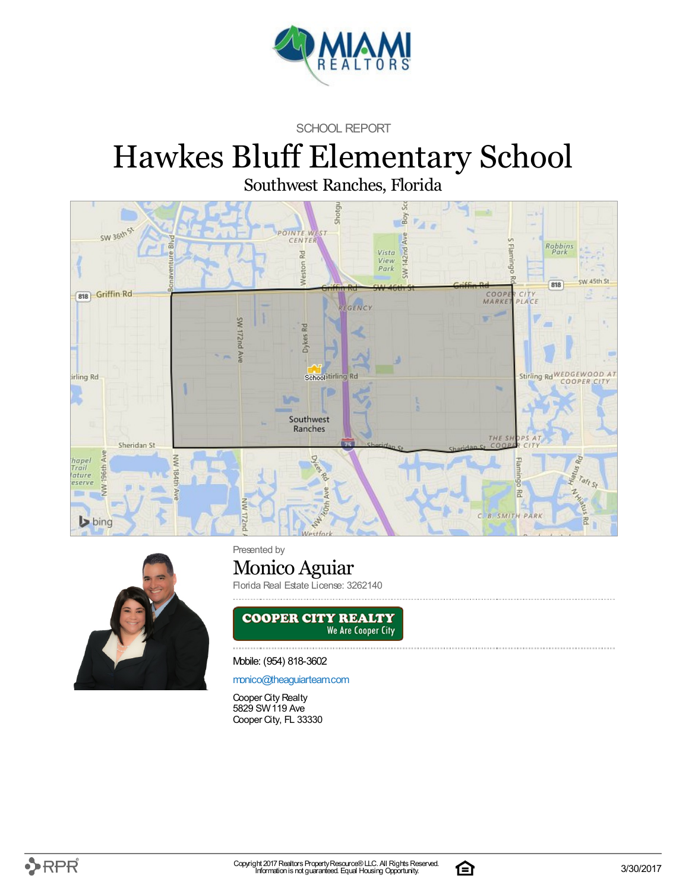

SCHOOL REPORT

# Hawkes Bluff Elementary School

Southwest Ranches, Florida





Presented by

## Monico Aguiar

Florida Real Estate License: 3262140



Mobile: (954) 818-3602

[monico@theaguiarteam.com](mailto:monico@theaguiarteam.com)

Cooper City Realty 5829 SW119 Ave Cooper City, FL 33330

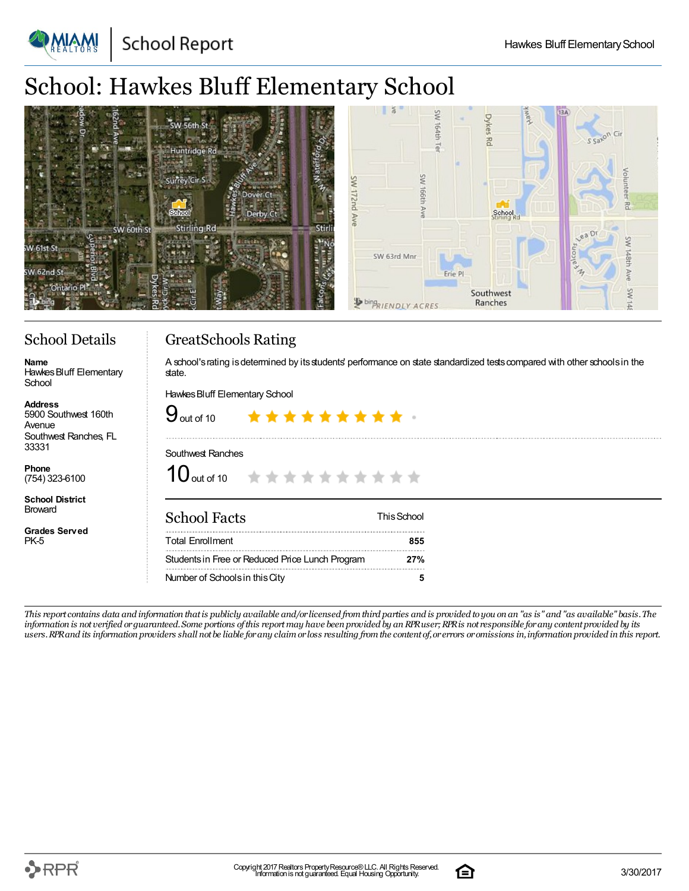**School Report** 

### School: Hawkes Bluff Elementary School

| SW 56th St<br>Huntridge Rd<br>Naterio<br>Surrey Cir S                                | $\delta$<br>Amery<br>SW<br>13A<br>ò<br>ੱ<br>정<br>ŠW<br>SW                  | S Saxon Cir                           |
|--------------------------------------------------------------------------------------|----------------------------------------------------------------------------|---------------------------------------|
| Dover Ct<br><b>GYES</b><br>School<br>Derby Ct<br>Stirling Rd<br>Stirli<br>SW 60th St | a d<br>School<br>Stirling Rd                                               | 꼰<br>ea Dr                            |
| W 61st St<br>SW 6.<br>8                                                              | SW 63rd Mnr<br>Erie Pl<br>Southwest<br>96.<br>Ranches<br>bingRIENDLY ACRES | 옆<br>¥<br>$\mathcal{I}_{\mathcal{F}}$ |

#### School Details

**Name** Hawkes Bluff Elementary School

**Address** 5900 Southwest 160th Avenue Southwest Ranches, FL 33331

**Phone** (754) 323-6100

**School District** Broward

**Grades Served** PK-5

#### GreatSchools Rating

A school's rating is determined by its students' performance on state standardized tests compared with other schools in the state.

Hawkes Bluff Elementary School

| $9$ out of 10                                           | ********* |  |  |  |  |             |
|---------------------------------------------------------|-----------|--|--|--|--|-------------|
| Southwest Ranches<br>10 out of 10 * * * * * * * * * * * |           |  |  |  |  |             |
| <b>School Facts</b>                                     |           |  |  |  |  | This School |
| <b>Total Fnrollment</b>                                 |           |  |  |  |  |             |

Studentsin Free or Reduced Price Lunch Program **27%** Number of Schoolsin thisCity **5**

This report contains data and information that is publicly available and/or licensed from third parties and is provided to you on an "as is" and "as available" basis. The information is not verified or guaranteed. Some portions of this report may have been provided by an RPR user; RPR is not responsible for any content provided by its users. RPR and its information providers shall not be liable for any claim or loss resulting from the content of, or errors or omissions in, information provided in this report.

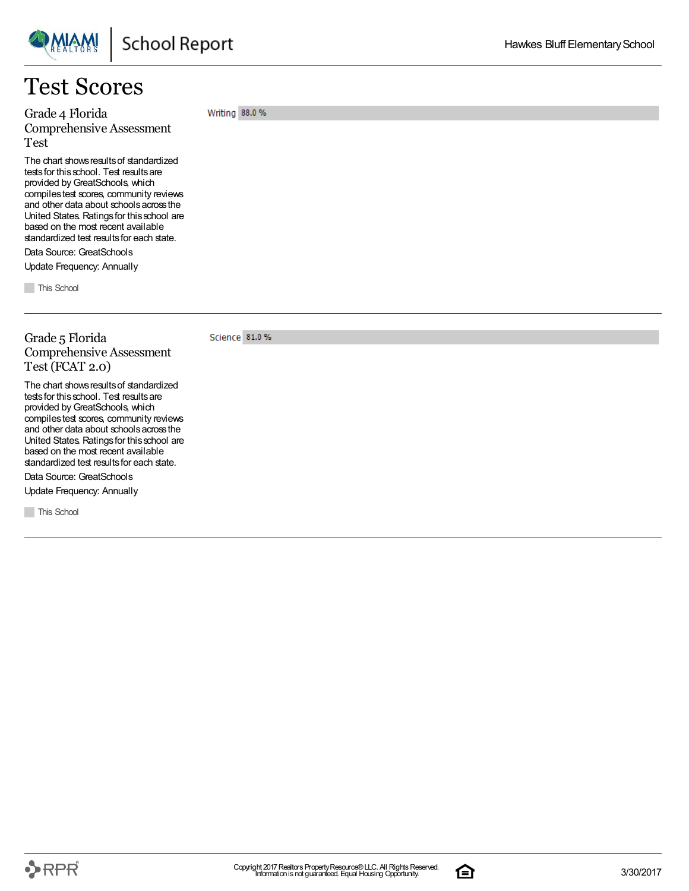

### Test Scores

Grade 4 Florida Comprehensive Assessment Test

The chart shows results of standardized tests for this school. Test results are provided by GreatSchools, which compilestest scores, community reviews and other data about schoolsacrossthe United States. Ratingsfor thisschool are based on the most recent available standardized test results for each state.

Data Source: GreatSchools Update Frequency: Annually

**This School** 

Grade 5 Florida

Test (FCAT 2.0)

Science 81.0 % Comprehensive Assessment

Writing 88.0 %

The chart shows results of standardized tests for this school. Test results are provided by GreatSchools, which compilestest scores, community reviews and other data about schoolsacrossthe United States. Ratingsfor thisschool are based on the most recent available standardized test results for each state.

Data Source: GreatSchools

Update Frequency: Annually

**This School** 

Hawkes Bluff Elementary School

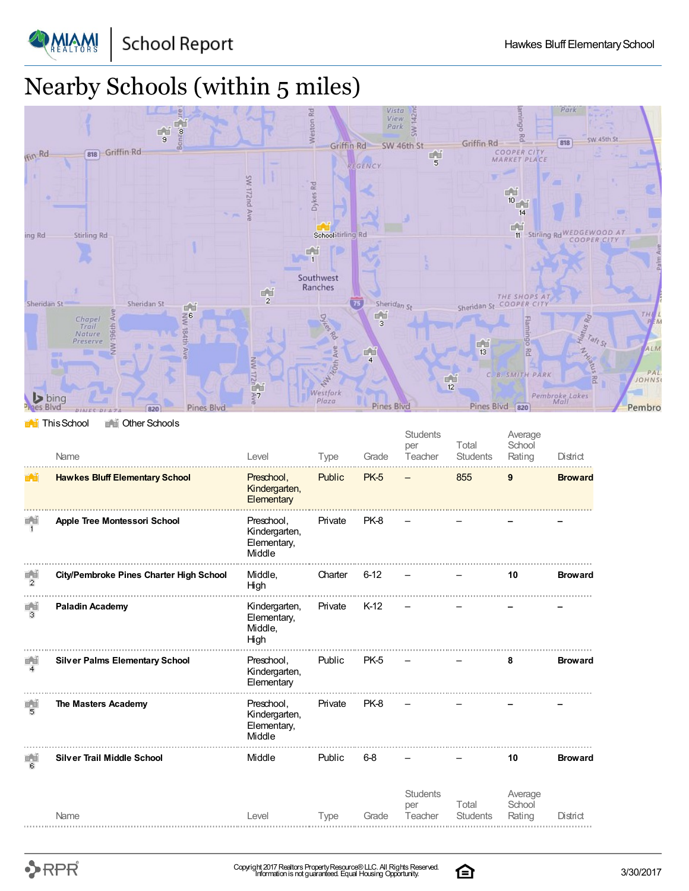

**DAIAM!** 

# Nearby Schools (within 5 miles)



**This School** The Other Schools

|                                       | Name                                    | Level                                                | <b>Type</b> | Grade       | <b>Students</b><br>per<br>Teacher | Total<br><b>Students</b> | Average<br>School<br>Rating | District       |
|---------------------------------------|-----------------------------------------|------------------------------------------------------|-------------|-------------|-----------------------------------|--------------------------|-----------------------------|----------------|
| $\mathbb{H}_{\mathbb{Z}}[\mathbb{H}]$ | <b>Hawkes Bluff Elementary School</b>   | Preschool,<br>Kindergarten,<br>Elementary            | Public      | <b>PK-5</b> |                                   | 855                      | 9                           | <b>Broward</b> |
|                                       | Apple Tree Montessori School            | Preschool,<br>Kindergarten,<br>Elementary,<br>Middle | Private     | PK-8        |                                   |                          |                             |                |
| $\frac{1}{2}$                         | City/Pembroke Pines Charter High School | Middle,<br>High                                      | Charter     | $6 - 12$    |                                   |                          | 10                          | <b>Broward</b> |
| 画面<br>з                               | <b>Paladin Academy</b>                  | Kindergarten,<br>Elementary,<br>Middle,<br>High      | Private     | $K-12$      |                                   |                          |                             |                |
| 画面<br>$\overline{\mathbf{4}}$         | <b>Silver Palms Elementary School</b>   | Preschool,<br>Kindergarten,<br>Elementary            | Public      | <b>PK-5</b> |                                   |                          | 8                           | <b>Broward</b> |
| 画面<br>5                               | The Masters Academy                     | Preschool,<br>Kindergarten,<br>Elementary,<br>Middle | Private     | PK-8        |                                   |                          |                             |                |
| 마련<br>в                               | <b>Silver Trail Middle School</b>       | Middle                                               | Public      | 6-8         |                                   |                          | 10                          | <b>Broward</b> |
|                                       | Name                                    | Level                                                | <b>Type</b> | Grade       | <b>Students</b><br>per<br>Teacher | Total<br><b>Students</b> | Average<br>School<br>Rating | District       |